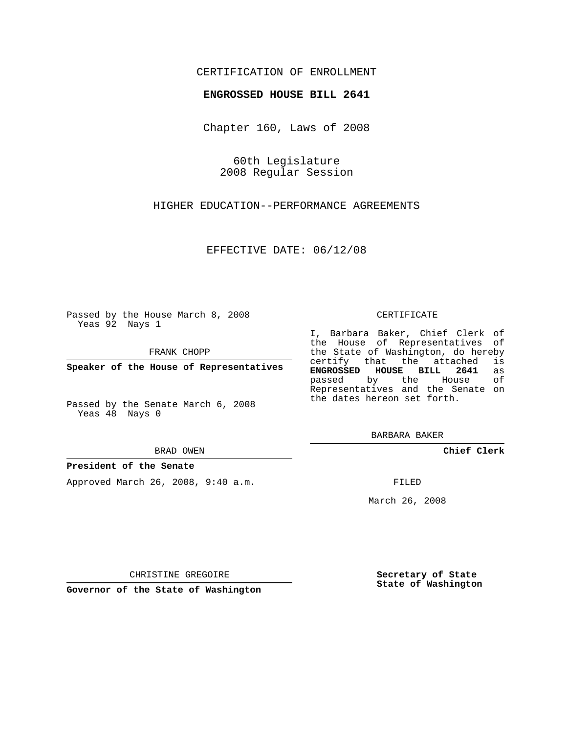### CERTIFICATION OF ENROLLMENT

### **ENGROSSED HOUSE BILL 2641**

Chapter 160, Laws of 2008

60th Legislature 2008 Regular Session

HIGHER EDUCATION--PERFORMANCE AGREEMENTS

EFFECTIVE DATE: 06/12/08

Passed by the House March 8, 2008 Yeas 92 Nays 1

FRANK CHOPP

**Speaker of the House of Representatives**

Passed by the Senate March 6, 2008 Yeas 48 Nays 0

#### BRAD OWEN

### **President of the Senate**

Approved March 26, 2008, 9:40 a.m.

#### CERTIFICATE

I, Barbara Baker, Chief Clerk of the House of Representatives of the State of Washington, do hereby certify that the attached is **ENGROSSED HOUSE BILL 2641** as passed by the House of Representatives and the Senate on the dates hereon set forth.

BARBARA BAKER

**Chief Clerk**

FILED

March 26, 2008

CHRISTINE GREGOIRE

**Governor of the State of Washington**

**Secretary of State State of Washington**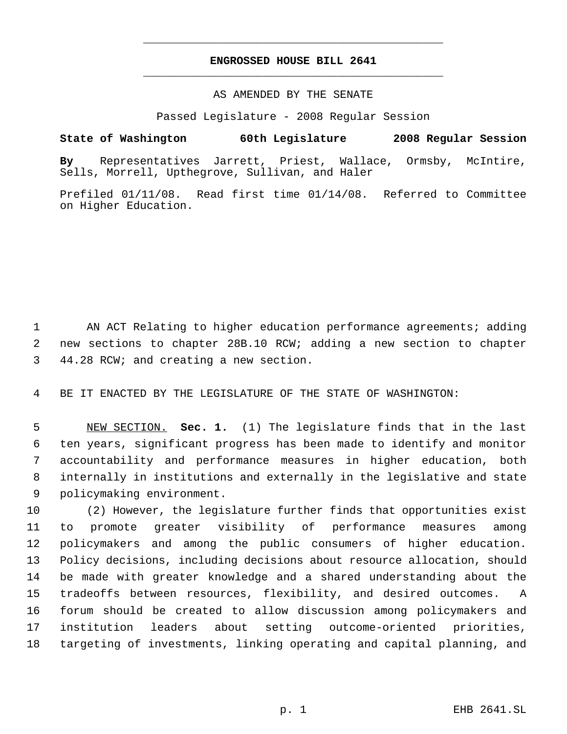# **ENGROSSED HOUSE BILL 2641** \_\_\_\_\_\_\_\_\_\_\_\_\_\_\_\_\_\_\_\_\_\_\_\_\_\_\_\_\_\_\_\_\_\_\_\_\_\_\_\_\_\_\_\_\_

\_\_\_\_\_\_\_\_\_\_\_\_\_\_\_\_\_\_\_\_\_\_\_\_\_\_\_\_\_\_\_\_\_\_\_\_\_\_\_\_\_\_\_\_\_

### AS AMENDED BY THE SENATE

Passed Legislature - 2008 Regular Session

## **State of Washington 60th Legislature 2008 Regular Session**

**By** Representatives Jarrett, Priest, Wallace, Ormsby, McIntire, Sells, Morrell, Upthegrove, Sullivan, and Haler

Prefiled 01/11/08. Read first time 01/14/08. Referred to Committee on Higher Education.

 AN ACT Relating to higher education performance agreements; adding new sections to chapter 28B.10 RCW; adding a new section to chapter 44.28 RCW; and creating a new section.

BE IT ENACTED BY THE LEGISLATURE OF THE STATE OF WASHINGTON:

 NEW SECTION. **Sec. 1.** (1) The legislature finds that in the last ten years, significant progress has been made to identify and monitor accountability and performance measures in higher education, both internally in institutions and externally in the legislative and state policymaking environment.

 (2) However, the legislature further finds that opportunities exist to promote greater visibility of performance measures among policymakers and among the public consumers of higher education. Policy decisions, including decisions about resource allocation, should be made with greater knowledge and a shared understanding about the tradeoffs between resources, flexibility, and desired outcomes. A forum should be created to allow discussion among policymakers and institution leaders about setting outcome-oriented priorities, targeting of investments, linking operating and capital planning, and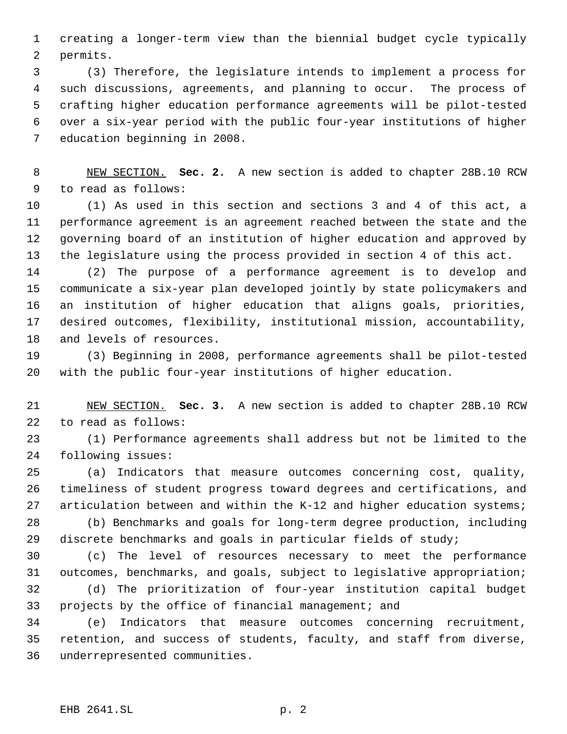creating a longer-term view than the biennial budget cycle typically permits.

 (3) Therefore, the legislature intends to implement a process for such discussions, agreements, and planning to occur. The process of crafting higher education performance agreements will be pilot-tested over a six-year period with the public four-year institutions of higher education beginning in 2008.

 NEW SECTION. **Sec. 2.** A new section is added to chapter 28B.10 RCW to read as follows:

 (1) As used in this section and sections 3 and 4 of this act, a performance agreement is an agreement reached between the state and the governing board of an institution of higher education and approved by the legislature using the process provided in section 4 of this act.

 (2) The purpose of a performance agreement is to develop and communicate a six-year plan developed jointly by state policymakers and an institution of higher education that aligns goals, priorities, desired outcomes, flexibility, institutional mission, accountability, and levels of resources.

 (3) Beginning in 2008, performance agreements shall be pilot-tested with the public four-year institutions of higher education.

 NEW SECTION. **Sec. 3.** A new section is added to chapter 28B.10 RCW to read as follows:

 (1) Performance agreements shall address but not be limited to the following issues:

 (a) Indicators that measure outcomes concerning cost, quality, timeliness of student progress toward degrees and certifications, and articulation between and within the K-12 and higher education systems;

 (b) Benchmarks and goals for long-term degree production, including discrete benchmarks and goals in particular fields of study;

 (c) The level of resources necessary to meet the performance outcomes, benchmarks, and goals, subject to legislative appropriation; (d) The prioritization of four-year institution capital budget projects by the office of financial management; and

 (e) Indicators that measure outcomes concerning recruitment, retention, and success of students, faculty, and staff from diverse, underrepresented communities.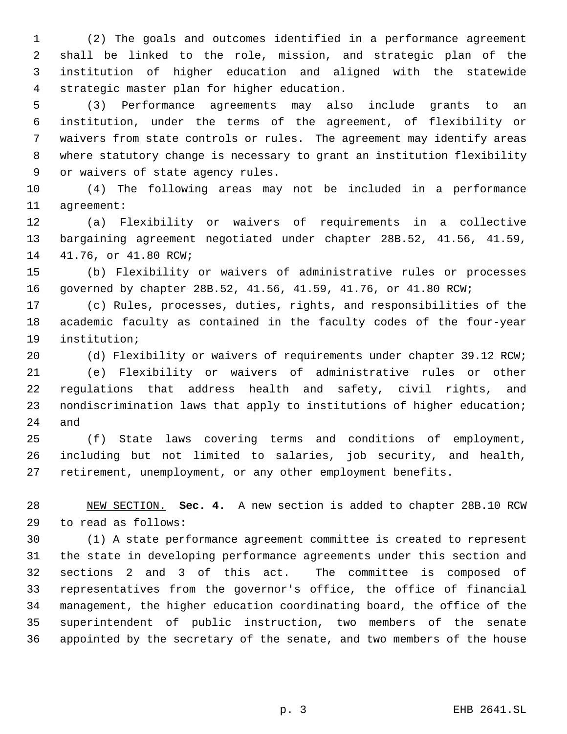(2) The goals and outcomes identified in a performance agreement shall be linked to the role, mission, and strategic plan of the institution of higher education and aligned with the statewide strategic master plan for higher education.

 (3) Performance agreements may also include grants to an institution, under the terms of the agreement, of flexibility or waivers from state controls or rules. The agreement may identify areas where statutory change is necessary to grant an institution flexibility or waivers of state agency rules.

 (4) The following areas may not be included in a performance agreement:

 (a) Flexibility or waivers of requirements in a collective bargaining agreement negotiated under chapter 28B.52, 41.56, 41.59, 41.76, or 41.80 RCW;

 (b) Flexibility or waivers of administrative rules or processes governed by chapter 28B.52, 41.56, 41.59, 41.76, or 41.80 RCW;

 (c) Rules, processes, duties, rights, and responsibilities of the academic faculty as contained in the faculty codes of the four-year institution;

(d) Flexibility or waivers of requirements under chapter 39.12 RCW;

 (e) Flexibility or waivers of administrative rules or other regulations that address health and safety, civil rights, and nondiscrimination laws that apply to institutions of higher education; and

 (f) State laws covering terms and conditions of employment, including but not limited to salaries, job security, and health, retirement, unemployment, or any other employment benefits.

 NEW SECTION. **Sec. 4.** A new section is added to chapter 28B.10 RCW to read as follows:

 (1) A state performance agreement committee is created to represent the state in developing performance agreements under this section and sections 2 and 3 of this act. The committee is composed of representatives from the governor's office, the office of financial management, the higher education coordinating board, the office of the superintendent of public instruction, two members of the senate appointed by the secretary of the senate, and two members of the house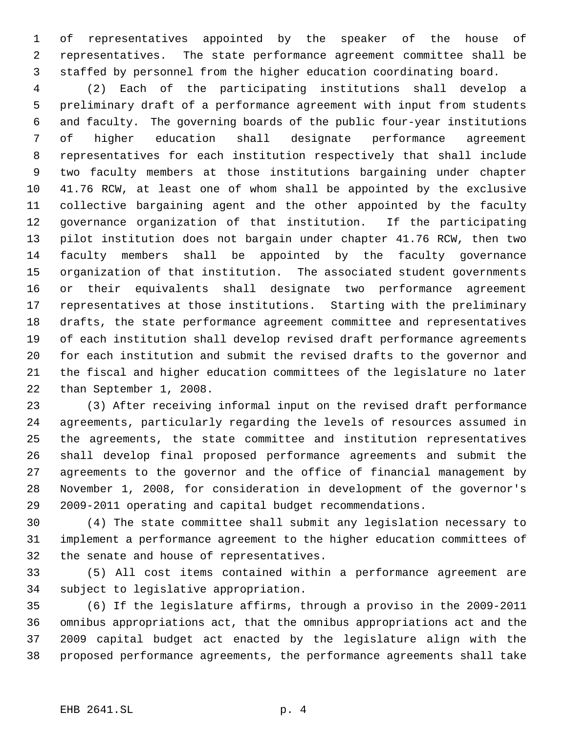of representatives appointed by the speaker of the house of representatives. The state performance agreement committee shall be staffed by personnel from the higher education coordinating board.

 (2) Each of the participating institutions shall develop a preliminary draft of a performance agreement with input from students and faculty. The governing boards of the public four-year institutions of higher education shall designate performance agreement representatives for each institution respectively that shall include two faculty members at those institutions bargaining under chapter 41.76 RCW, at least one of whom shall be appointed by the exclusive collective bargaining agent and the other appointed by the faculty governance organization of that institution. If the participating pilot institution does not bargain under chapter 41.76 RCW, then two faculty members shall be appointed by the faculty governance organization of that institution. The associated student governments or their equivalents shall designate two performance agreement representatives at those institutions. Starting with the preliminary drafts, the state performance agreement committee and representatives of each institution shall develop revised draft performance agreements for each institution and submit the revised drafts to the governor and the fiscal and higher education committees of the legislature no later than September 1, 2008.

 (3) After receiving informal input on the revised draft performance agreements, particularly regarding the levels of resources assumed in the agreements, the state committee and institution representatives shall develop final proposed performance agreements and submit the agreements to the governor and the office of financial management by November 1, 2008, for consideration in development of the governor's 2009-2011 operating and capital budget recommendations.

 (4) The state committee shall submit any legislation necessary to implement a performance agreement to the higher education committees of the senate and house of representatives.

 (5) All cost items contained within a performance agreement are subject to legislative appropriation.

 (6) If the legislature affirms, through a proviso in the 2009-2011 omnibus appropriations act, that the omnibus appropriations act and the 2009 capital budget act enacted by the legislature align with the proposed performance agreements, the performance agreements shall take